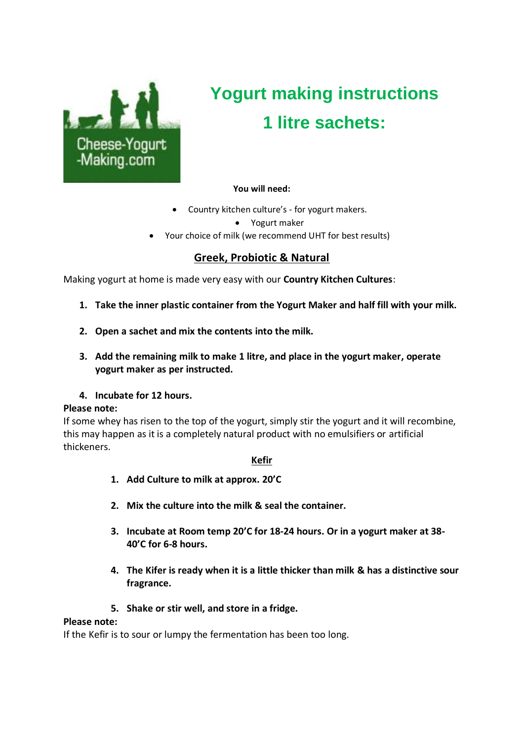

# **Yogurt making instructions 1 litre sachets:**

#### **You will need:**

• Country kitchen culture's - for yogurt makers.

• Yogurt maker

• Your choice of milk (we recommend UHT for best results)

#### **Greek, Probiotic & Natural**

Making yogurt at home is made very easy with our **Country Kitchen Cultures**:

- **1. Take the inner plastic container from the Yogurt Maker and half fill with your milk.**
- **2. Open a sachet and mix the contents into the milk.**
- **3. Add the remaining milk to make 1 litre, and place in the yogurt maker, operate yogurt maker as per instructed.**
- **4. Incubate for 12 hours.**

#### **Please note:**

If some whey has risen to the top of the yogurt, simply stir the yogurt and it will recombine, this may happen as it is a completely natural product with no emulsifiers or artificial thickeners.

#### **Kefir**

- **1. Add Culture to milk at approx. 20'C**
- **2. Mix the culture into the milk & seal the container.**
- **3. Incubate at Room temp 20'C for 18-24 hours. Or in a yogurt maker at 38- 40'C for 6-8 hours.**
- **4. The Kifer is ready when it is a little thicker than milk & has a distinctive sour fragrance.**
- **5. Shake or stir well, and store in a fridge.**

#### **Please note:**

If the Kefir is to sour or lumpy the fermentation has been too long.